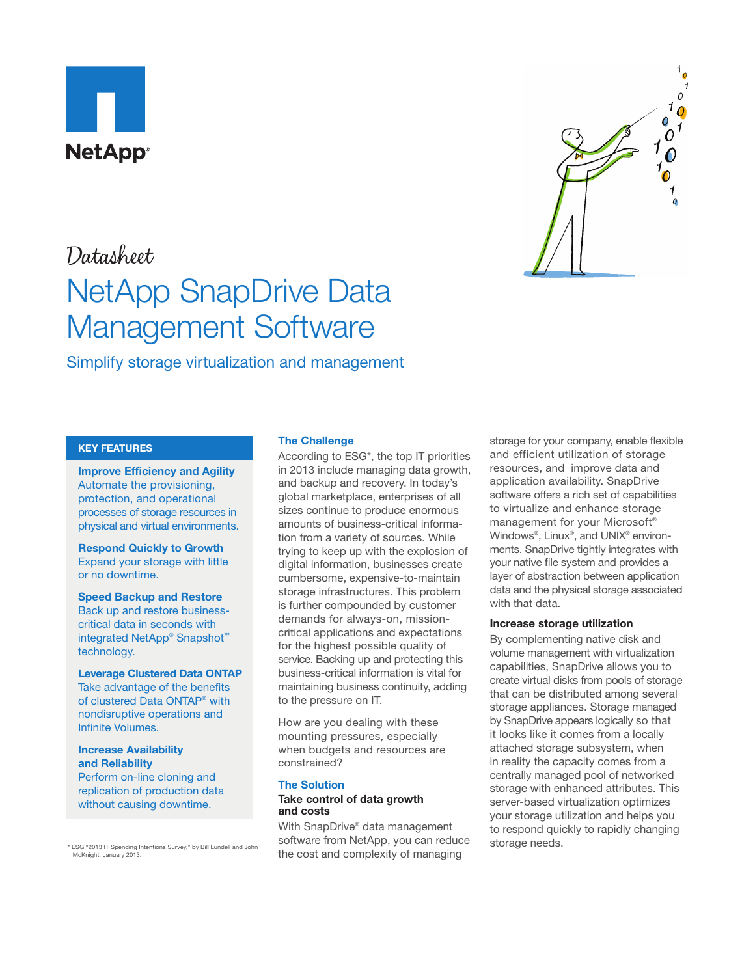

## Datasheet

# NetApp SnapDrive Data Management Software

Simplify storage virtualization and management

#### **KEY FEATURES**

**Improve Efficiency and Agility** Automate the provisioning, protection, and operational processes of storage resources in physical and virtual environments.

**Respond Quickly to Growth** Expand your storage with little or no downtime.

**Speed Backup and Restore** Back up and restore businesscritical data in seconds with integrated NetApp® Snapshot™ technology.

**Leverage Clustered Data ONTAP**  Take advantage of the benefits of clustered Data ONTAP® with nondisruptive operations and Infinite Volumes.

#### **Increase Availability and Reliability**

Perform on-line cloning and replication of production data without causing downtime.

McKnight, January 2013.

#### **The Challenge**

According to ESG\*, the top IT priorities in 2013 include managing data growth, and backup and recovery. In today's global marketplace, enterprises of all sizes continue to produce enormous amounts of business-critical information from a variety of sources. While trying to keep up with the explosion of digital information, businesses create cumbersome, expensive-to-maintain storage infrastructures. This problem is further compounded by customer demands for always-on, missioncritical applications and expectations for the highest possible quality of service. Backing up and protecting this business-critical information is vital for maintaining business continuity, adding to the pressure on IT.

How are you dealing with these mounting pressures, especially when budgets and resources are constrained?

#### **The Solution Take control of data growth**

### **and costs**

With SnapDrive® data management \* ESG "2013 IT Spending Intentions Survey," by Bill Lundell and John Software from NetApp, you can reduce storage needs. the cost and complexity of managing

storage for your company, enable flexible and efficient utilization of storage resources, and improve data and application availability. SnapDrive software offers a rich set of capabilities to virtualize and enhance storage management for your Microsoft® Windows®, Linux®, and UNIX® environments. SnapDrive tightly integrates with your native file system and provides a layer of abstraction between application data and the physical storage associated with that data.

#### **Increase storage utilization**

By complementing native disk and volume management with virtualization capabilities, SnapDrive allows you to create virtual disks from pools of storage that can be distributed among several storage appliances. Storage managed by SnapDrive appears logically so that it looks like it comes from a locally attached storage subsystem, when in reality the capacity comes from a centrally managed pool of networked storage with enhanced attributes. This server-based virtualization optimizes your storage utilization and helps you to respond quickly to rapidly changing

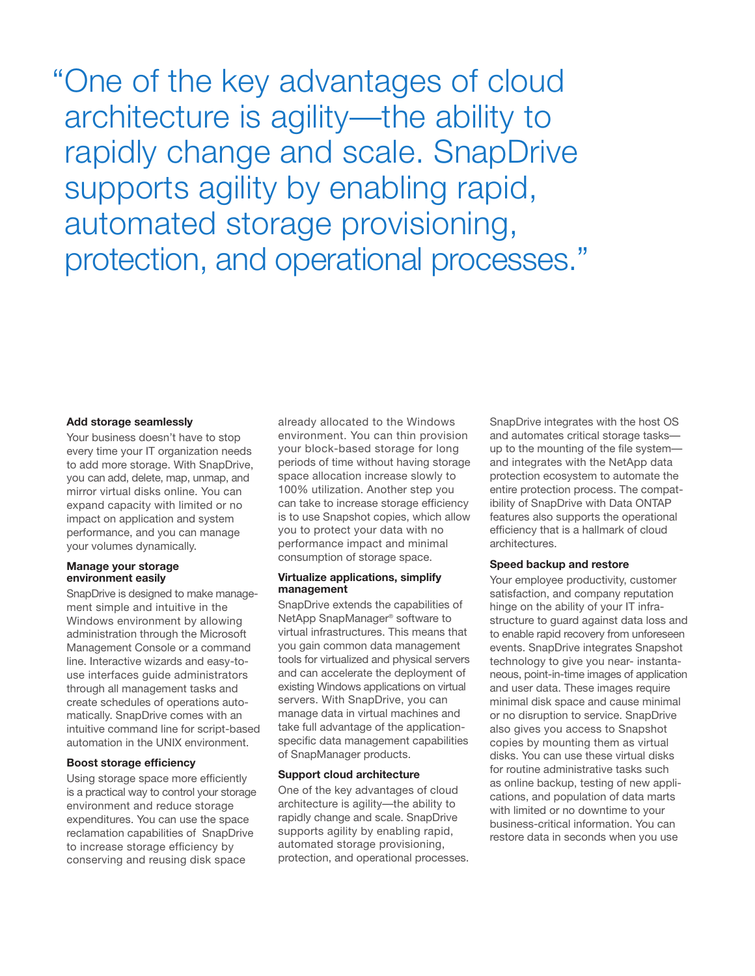"One of the key advantages of cloud architecture is agility—the ability to rapidly change and scale. SnapDrive supports agility by enabling rapid, automated storage provisioning, protection, and operational processes."

#### **Add storage seamlessly**

Your business doesn't have to stop every time your IT organization needs to add more storage. With SnapDrive, you can add, delete, map, unmap, and mirror virtual disks online. You can expand capacity with limited or no impact on application and system performance, and you can manage your volumes dynamically.

#### **Manage your storage environment easily**

SnapDrive is designed to make management simple and intuitive in the Windows environment by allowing administration through the Microsoft Management Console or a command line. Interactive wizards and easy-touse interfaces guide administrators through all management tasks and create schedules of operations automatically. SnapDrive comes with an intuitive command line for script-based automation in the UNIX environment.

#### **Boost storage efficiency**

Using storage space more efficiently is a practical way to control your storage environment and reduce storage expenditures. You can use the space reclamation capabilities of SnapDrive to increase storage efficiency by conserving and reusing disk space

already allocated to the Windows environment. You can thin provision your block-based storage for long periods of time without having storage space allocation increase slowly to 100% utilization. Another step you can take to increase storage efficiency is to use Snapshot copies, which allow you to protect your data with no performance impact and minimal consumption of storage space.

#### **Virtualize applications, simplify management**

SnapDrive extends the capabilities of NetApp SnapManager® software to virtual infrastructures. This means that you gain common data management tools for virtualized and physical servers and can accelerate the deployment of existing Windows applications on virtual servers. With SnapDrive, you can manage data in virtual machines and take full advantage of the applicationspecific data management capabilities of SnapManager products.

#### **Support cloud architecture**

One of the key advantages of cloud architecture is agility—the ability to rapidly change and scale. SnapDrive supports agility by enabling rapid, automated storage provisioning, protection, and operational processes. SnapDrive integrates with the host OS and automates critical storage tasks up to the mounting of the file system and integrates with the NetApp data protection ecosystem to automate the entire protection process. The compatibility of SnapDrive with Data ONTAP features also supports the operational efficiency that is a hallmark of cloud architectures.

#### **Speed backup and restore**

Your employee productivity, customer satisfaction, and company reputation hinge on the ability of your IT infrastructure to guard against data loss and to enable rapid recovery from unforeseen events. SnapDrive integrates Snapshot technology to give you near- instantaneous, point-in-time images of application and user data. These images require minimal disk space and cause minimal or no disruption to service. SnapDrive also gives you access to Snapshot copies by mounting them as virtual disks. You can use these virtual disks for routine administrative tasks such as online backup, testing of new applications, and population of data marts with limited or no downtime to your business-critical information. You can restore data in seconds when you use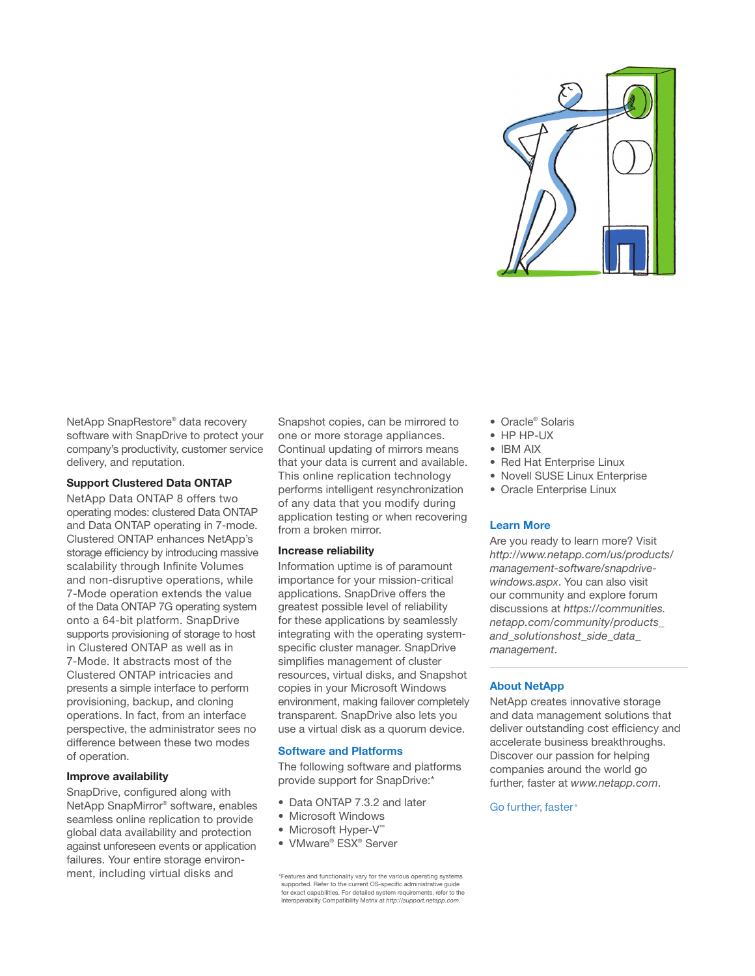

NetApp SnapRestore® data recovery software with SnapDrive to protect your company's productivity, customer service delivery, and reputation.

#### **Support Clustered Data ONTAP**

NetApp Data ONTAP 8 offers two operating modes: clustered Data ONTAP and Data ONTAP operating in 7-mode. Clustered ONTAP enhances NetApp's storage efficiency by introducing massive scalability through Infinite Volumes and non-disruptive operations, while 7-Mode operation extends the value of the Data ONTAP 7G operating system onto a 64-bit platform. SnapDrive supports provisioning of storage to host in Clustered ONTAP as well as in 7-Mode. It abstracts most of the Clustered ONTAP intricacies and presents a simple interface to perform provisioning, backup, and cloning operations. In fact, from an interface perspective, the administrator sees no difference between these two modes of operation.

#### **Improve availability**

SnapDrive, configured along with NetApp SnapMirror® software, enables seamless online replication to provide global data availability and protection against unforeseen events or application failures. Your entire storage environment, including virtual disks and

Snapshot copies, can be mirrored to one or more storage appliances. Continual updating of mirrors means that your data is current and available. This online replication technology performs intelligent resynchronization of any data that you modify during application testing or when recovering from a broken mirror.

#### **Increase reliability**

Information uptime is of paramount importance for your mission-critical applications. SnapDrive offers the greatest possible level of reliability for these applications by seamlessly integrating with the operating systemspecific cluster manager. SnapDrive simplifies management of cluster resources, virtual disks, and Snapshot copies in your Microsoft Windows environment, making failover completely transparent. SnapDrive also lets you use a virtual disk as a quorum device.

#### **Software and Platforms**

The following software and platforms provide support for SnapDrive:\*

- Data ONTAP 7.3.2 and later
- Microsoft Windows
- Microsoft Hyper-V™
- VMware® ESX® Server

\*Features and functionality vary for the various operating systems supported. Refer to the current OS-specific administrative guide for exact capabilities. For detailed system requirements, refer to the Interoperability Compatibility Matrix at *<http://support.netapp.com>*.

- Oracle® Solaris
- HP HP-UX
- IBM AIX
- Red Hat Enterprise Linux
- Novell SUSE Linux Enterprise
- Oracle Enterprise Linux

#### **Learn More**

Are you ready to learn more? Visit *http://www.netapp.com/us/products/ management-software/snapdrivewindows.aspx*. You can also visit our community and explore forum discussions at *[https://communities.](https://communities.netapp.com/community/products_and_solutions/host_side_data_management) [netapp.com/community/products\\_](https://communities.netapp.com/community/products_and_solutions/host_side_data_management) [and\\_solutionshost\\_side\\_data\\_](https://communities.netapp.com/community/products_and_solutions/host_side_data_management) [management](https://communities.netapp.com/community/products_and_solutions/host_side_data_management)*.

#### **About NetApp**

NetApp creates innovative storage and data management solutions that deliver outstanding cost efficiency and accelerate business breakthroughs. Discover our passion for helping companies around the world go further, faster at *[www.netapp.com](http://www.netapp.com)*.

#### Go further, faster<sup>®</sup>